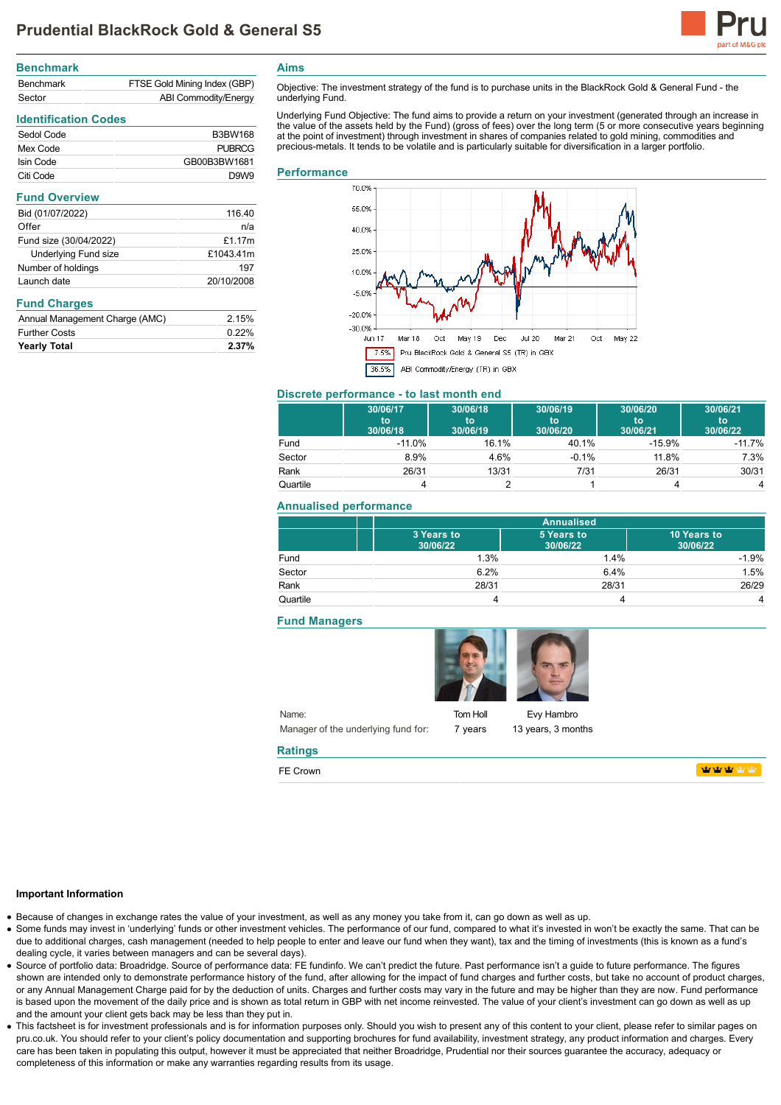

| <b>Benchmark</b> |                              |
|------------------|------------------------------|
| <b>Benchmark</b> | FTSE Gold Mining Index (GBP) |
| Sector           | ABI Commodity/Energy         |

# **Identification Codes**

| Sedol Code | <b>B3BW168</b> |
|------------|----------------|
| Mex Code   | PURRCG         |
| Isin Code  | GB00B3BW1681   |
| Citi Code  | D.9W.9         |

#### **Fund Overview**

| Bid (01/07/2022)            | 116.40     |
|-----------------------------|------------|
| Offer                       | n/a        |
| Fund size (30/04/2022)      | £1.17 $m$  |
| <b>Underlying Fund size</b> | £1043.41m  |
| Number of holdings          | 197        |
| Launch date                 | 20/10/2008 |
|                             |            |

## **Fund Charges**

| <b>Yearly Total</b>            | 2.37% |
|--------------------------------|-------|
| <b>Further Costs</b>           | 0.22% |
| Annual Management Charge (AMC) | 2.15% |

**Aims**

Objective: The investment strategy of the fund is to purchase units in the BlackRock Gold & General Fund - the underlying Fund.

Underlying Fund Objective: The fund aims to provide a return on your investment (generated through an increase in the value of the assets held by the Fund) (gross of fees) over the long term (5 or more consecutive years beginning at the point of investment) through investment in shares of companies related to gold mining, commodities and precious-metals. It tends to be volatile and is particularly suitable for diversification in a larger portfolio.

#### **Performance**



# **Discrete performance - to last month end**

|          | 30/06/17<br>to<br>30/06/18 | 30/06/18<br>to<br>30/06/19 | 30/06/19<br>to<br>30/06/20 | 30/06/20<br>'to<br>30/06/21 | 30/06/21<br>to<br>30/06/22 |
|----------|----------------------------|----------------------------|----------------------------|-----------------------------|----------------------------|
| Fund     | $-11.0%$                   | 16.1%                      | 40.1%                      | $-15.9%$                    | $-11.7%$                   |
| Sector   | 8.9%                       | 4.6%                       | $-0.1%$                    | 11.8%                       | 7.3%                       |
| Rank     | 26/31                      | 13/31                      | 7/31                       | 26/31                       | 30/31                      |
| Quartile |                            |                            |                            |                             | 4                          |

### **Annualised performance**

|          | <b>Annualised</b>      |                        |                         |
|----------|------------------------|------------------------|-------------------------|
|          | 3 Years to<br>30/06/22 | 5 Years to<br>30/06/22 | 10 Years to<br>30/06/22 |
| Fund     | 1.3%                   | 1.4%                   | $-1.9%$                 |
| Sector   | 6.2%                   | 6.4%                   | 1.5%                    |
| Rank     | 28/31                  | 28/31                  | 26/29                   |
| Quartile |                        |                        | 4                       |

### **Fund Managers**



Tom Holl 7 years

Evy Hambro 13 years, 3 months

## **Ratings**

FE Crown

**WWWWW** 

#### **Important Information**

- Because of changes in exchange rates the value of your investment, as well as any money you take from it, can go down as well as up.
- Some funds may invest in 'underlying' funds or other investment vehicles. The performance of our fund, compared to what it's invested in won't be exactly the same. That can be due to additional charges, cash management (needed to help people to enter and leave our fund when they want), tax and the timing of investments (this is known as a fund's dealing cycle, it varies between managers and can be several days).
- Source of portfolio data: Broadridge. Source of performance data: FE fundinfo. We can't predict the future. Past performance isn't a guide to future performance. The figures shown are intended only to demonstrate performance history of the fund, after allowing for the impact of fund charges and further costs, but take no account of product charges, or any Annual Management Charge paid for by the deduction of units. Charges and further costs may vary in the future and may be higher than they are now. Fund performance is based upon the movement of the daily price and is shown as total return in GBP with net income reinvested. The value of your client's investment can go down as well as up and the amount your client gets back may be less than they put in.
- This factsheet is for investment professionals and is for information purposes only. Should you wish to present any of this content to your client, please refer to similar pages on pru.co.uk. You should refer to your client's policy documentation and supporting brochures for fund availability, investment strategy, any product information and charges. Every care has been taken in populating this output, however it must be appreciated that neither Broadridge, Prudential nor their sources guarantee the accuracy, adequacy or completeness of this information or make any warranties regarding results from its usage.